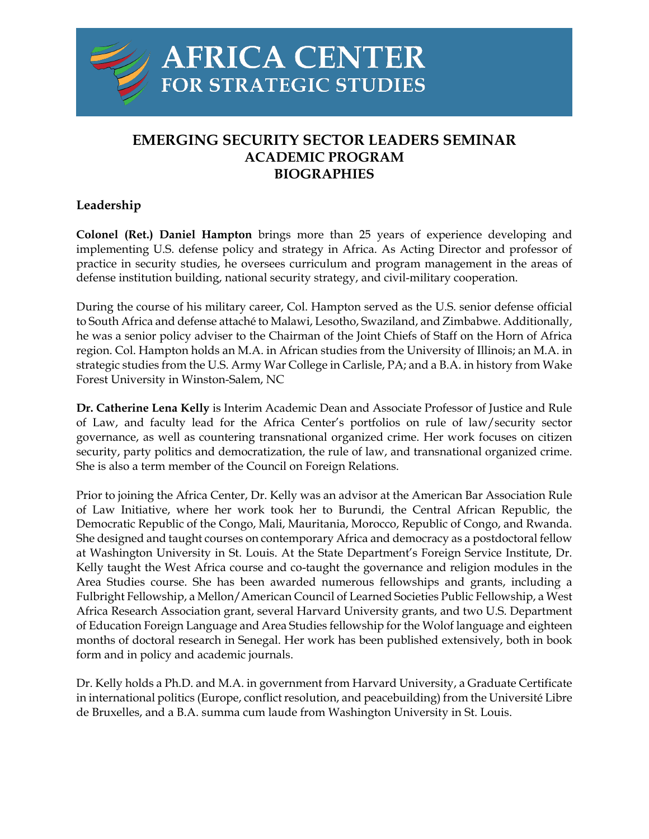

# **EMERGING SECURITY SECTOR LEADERS SEMINAR ACADEMIC PROGRAM BIOGRAPHIES**

## **Leadership**

**Colonel (Ret.) Daniel Hampton** brings more than 25 years of experience developing and implementing U.S. defense policy and strategy in Africa. As Acting Director and professor of practice in security studies, he oversees curriculum and program management in the areas of defense institution building, national security strategy, and civil-military cooperation.

During the course of his military career, Col. Hampton served as the U.S. senior defense official to South Africa and defense attaché to Malawi, Lesotho, Swaziland, and Zimbabwe. Additionally, he was a senior policy adviser to the Chairman of the Joint Chiefs of Staff on the Horn of Africa region. Col. Hampton holds an M.A. in African studies from the University of Illinois; an M.A. in strategic studies from the U.S. Army War College in Carlisle, PA; and a B.A. in history from Wake Forest University in Winston-Salem, NC

**Dr. Catherine Lena Kelly** is Interim Academic Dean and Associate Professor of Justice and Rule of Law, and faculty lead for the Africa Center's portfolios on rule of law/security sector governance, as well as countering transnational organized crime. Her work focuses on citizen security, party politics and democratization, the rule of law, and transnational organized crime. She is also a term member of the Council on Foreign Relations.

Prior to joining the Africa Center, Dr. Kelly was an advisor at the American Bar Association Rule of Law Initiative, where her work took her to Burundi, the Central African Republic, the Democratic Republic of the Congo, Mali, Mauritania, Morocco, Republic of Congo, and Rwanda. She designed and taught courses on contemporary Africa and democracy as a postdoctoral fellow at Washington University in St. Louis. At the State Department's Foreign Service Institute, Dr. Kelly taught the West Africa course and co-taught the governance and religion modules in the Area Studies course. She has been awarded numerous fellowships and grants, including a Fulbright Fellowship, a Mellon/American Council of Learned Societies Public Fellowship, a West Africa Research Association grant, several Harvard University grants, and two U.S. Department of Education Foreign Language and Area Studies fellowship for the Wolof language and eighteen months of doctoral research in Senegal. Her work has been published extensively, both in book form and in policy and academic journals.

Dr. Kelly holds a Ph.D. and M.A. in government from Harvard University, a Graduate Certificate in international politics (Europe, conflict resolution, and peacebuilding) from the Université Libre de Bruxelles, and a B.A. summa cum laude from Washington University in St. Louis.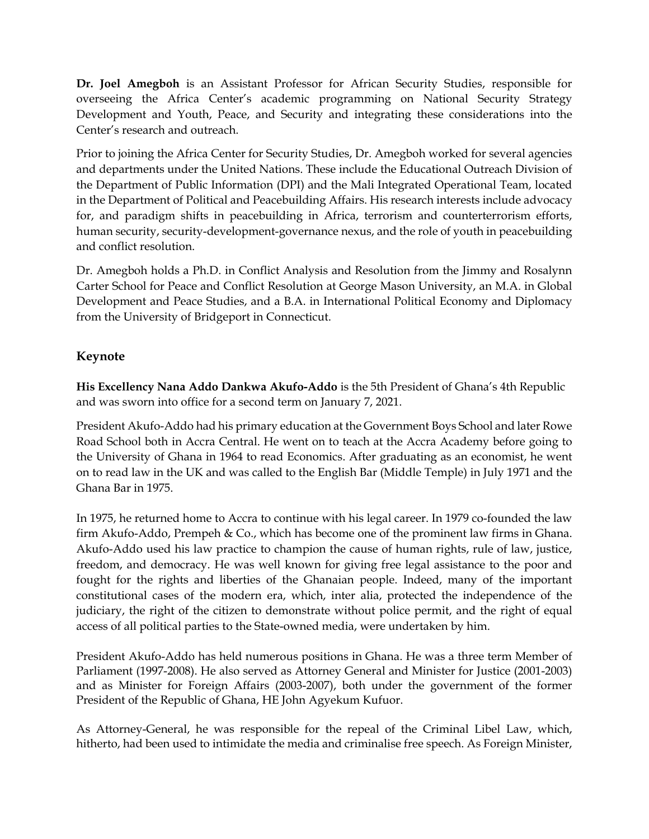**Dr. Joel Amegboh** is an Assistant Professor for African Security Studies, responsible for overseeing the Africa Center's academic programming on National Security Strategy Development and Youth, Peace, and Security and integrating these considerations into the Center's research and outreach.

Prior to joining the Africa Center for Security Studies, Dr. Amegboh worked for several agencies and departments under the United Nations. These include the Educational Outreach Division of the Department of Public Information (DPI) and the Mali Integrated Operational Team, located in the Department of Political and Peacebuilding Affairs. His research interests include advocacy for, and paradigm shifts in peacebuilding in Africa, terrorism and counterterrorism efforts, human security, security-development-governance nexus, and the role of youth in peacebuilding and conflict resolution.

Dr. Amegboh holds a Ph.D. in Conflict Analysis and Resolution from the Jimmy and Rosalynn Carter School for Peace and Conflict Resolution at George Mason University, an M.A. in Global Development and Peace Studies, and a B.A. in International Political Economy and Diplomacy from the University of Bridgeport in Connecticut.

# **Keynote**

**His Excellency Nana Addo Dankwa Akufo-Addo** is the 5th President of Ghana's 4th Republic and was sworn into office for a second term on January 7, 2021.

President Akufo-Addo had his primary education at the Government Boys School and later Rowe Road School both in Accra Central. He went on to teach at the Accra Academy before going to the University of Ghana in 1964 to read Economics. After graduating as an economist, he went on to read law in the UK and was called to the English Bar (Middle Temple) in July 1971 and the Ghana Bar in 1975.

In 1975, he returned home to Accra to continue with his legal career. In 1979 co-founded the law firm Akufo-Addo, Prempeh & Co., which has become one of the prominent law firms in Ghana. Akufo-Addo used his law practice to champion the cause of human rights, rule of law, justice, freedom, and democracy. He was well known for giving free legal assistance to the poor and fought for the rights and liberties of the Ghanaian people. Indeed, many of the important constitutional cases of the modern era, which, inter alia, protected the independence of the judiciary, the right of the citizen to demonstrate without police permit, and the right of equal access of all political parties to the State-owned media, were undertaken by him.

President Akufo-Addo has held numerous positions in Ghana. He was a three term Member of Parliament (1997-2008). He also served as Attorney General and Minister for Justice (2001-2003) and as Minister for Foreign Affairs (2003-2007), both under the government of the former President of the Republic of Ghana, HE John Agyekum Kufuor.

As Attorney-General, he was responsible for the repeal of the Criminal Libel Law, which, hitherto, had been used to intimidate the media and criminalise free speech. As Foreign Minister,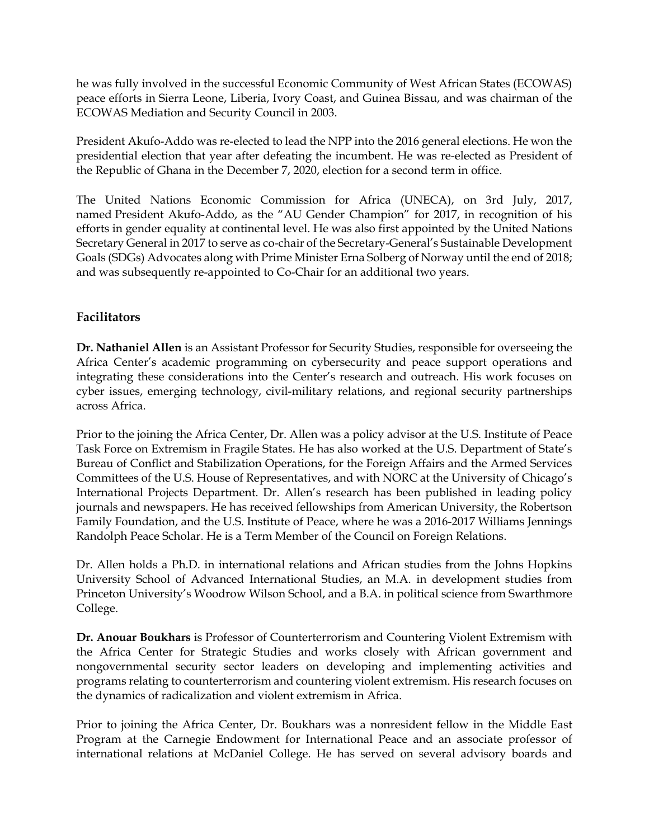he was fully involved in the successful Economic Community of West African States (ECOWAS) peace efforts in Sierra Leone, Liberia, Ivory Coast, and Guinea Bissau, and was chairman of the ECOWAS Mediation and Security Council in 2003.

President Akufo-Addo was re-elected to lead the NPP into the 2016 general elections. He won the presidential election that year after defeating the incumbent. He was re-elected as President of the Republic of Ghana in the December 7, 2020, election for a second term in office.

The United Nations Economic Commission for Africa (UNECA), on 3rd July, 2017, named President Akufo-Addo, as the "AU Gender Champion" for 2017, in recognition of his efforts in gender equality at continental level. He was also first appointed by the United Nations Secretary General in 2017 to serve as co-chair of the Secretary-General's Sustainable Development Goals (SDGs) Advocates along with Prime Minister Erna Solberg of Norway until the end of 2018; and was subsequently re-appointed to Co-Chair for an additional two years.

## **Facilitators**

**Dr. Nathaniel Allen** is an Assistant Professor for Security Studies, responsible for overseeing the Africa Center's academic programming on cybersecurity and peace support operations and integrating these considerations into the Center's research and outreach. His work focuses on cyber issues, emerging technology, civil-military relations, and regional security partnerships across Africa.

Prior to the joining the Africa Center, Dr. Allen was a policy advisor at the U.S. Institute of Peace Task Force on Extremism in Fragile States. He has also worked at the U.S. Department of State's Bureau of Conflict and Stabilization Operations, for the Foreign Affairs and the Armed Services Committees of the U.S. House of Representatives, and with NORC at the University of Chicago's International Projects Department. Dr. Allen's research has been published in leading policy journals and newspapers. He has received fellowships from American University, the Robertson Family Foundation, and the U.S. Institute of Peace, where he was a 2016-2017 Williams Jennings Randolph Peace Scholar. He is a Term Member of the Council on Foreign Relations.

Dr. Allen holds a Ph.D. in international relations and African studies from the Johns Hopkins University School of Advanced International Studies, an M.A. in development studies from Princeton University's Woodrow Wilson School, and a B.A. in political science from Swarthmore College.

**Dr. Anouar Boukhars** is Professor of Counterterrorism and Countering Violent Extremism with the Africa Center for Strategic Studies and works closely with African government and nongovernmental security sector leaders on developing and implementing activities and programs relating to counterterrorism and countering violent extremism. His research focuses on the dynamics of radicalization and violent extremism in Africa.

Prior to joining the Africa Center, Dr. Boukhars was a nonresident fellow in the Middle East Program at the Carnegie Endowment for International Peace and an associate professor of international relations at McDaniel College. He has served on several advisory boards and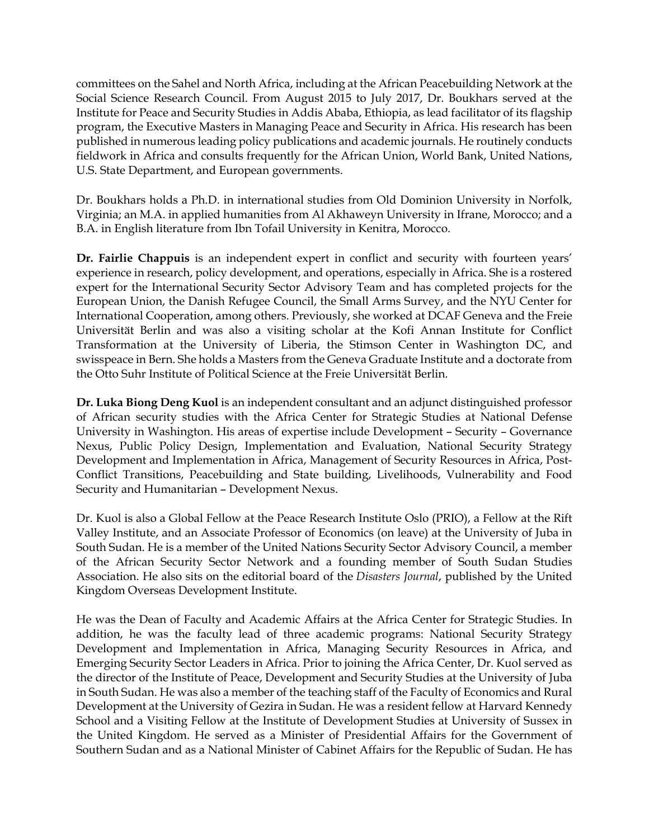committees on the Sahel and North Africa, including at the African Peacebuilding Network at the Social Science Research Council. From August 2015 to July 2017, Dr. Boukhars served at the Institute for Peace and Security Studies in Addis Ababa, Ethiopia, as lead facilitator of its flagship program, the Executive Masters in Managing Peace and Security in Africa. His research has been published in numerous leading policy publications and academic journals. He routinely conducts fieldwork in Africa and consults frequently for the African Union, World Bank, United Nations, U.S. State Department, and European governments.

Dr. Boukhars holds a Ph.D. in international studies from Old Dominion University in Norfolk, Virginia; an M.A. in applied humanities from Al Akhaweyn University in Ifrane, Morocco; and a B.A. in English literature from Ibn Tofail University in Kenitra, Morocco.

**Dr. Fairlie Chappuis** is an independent expert in conflict and security with fourteen years' experience in research, policy development, and operations, especially in Africa. She is a rostered expert for the International Security Sector Advisory Team and has completed projects for the European Union, the Danish Refugee Council, the Small Arms Survey, and the NYU Center for International Cooperation, among others. Previously, she worked at DCAF Geneva and the Freie Universität Berlin and was also a visiting scholar at the Kofi Annan Institute for Conflict Transformation at the University of Liberia, the Stimson Center in Washington DC, and swisspeace in Bern. She holds a Masters from the Geneva Graduate Institute and a doctorate from the Otto Suhr Institute of Political Science at the Freie Universität Berlin.

**Dr. Luka Biong Deng Kuol** is an independent consultant and an adjunct distinguished professor of African security studies with the Africa Center for Strategic Studies at National Defense University in Washington. His areas of expertise include Development – Security – Governance Nexus, Public Policy Design, Implementation and Evaluation, National Security Strategy Development and Implementation in Africa, Management of Security Resources in Africa, Post-Conflict Transitions, Peacebuilding and State building, Livelihoods, Vulnerability and Food Security and Humanitarian – Development Nexus.

Dr. Kuol is also a Global Fellow at the Peace Research Institute Oslo (PRIO), a Fellow at the Rift Valley Institute, and an Associate Professor of Economics (on leave) at the University of Juba in South Sudan. He is a member of the United Nations Security Sector Advisory Council, a member of the African Security Sector Network and a founding member of South Sudan Studies Association. He also sits on the editorial board of the *Disasters Journal*, published by the United Kingdom Overseas Development Institute.

He was the Dean of Faculty and Academic Affairs at the Africa Center for Strategic Studies. In addition, he was the faculty lead of three academic programs: National Security Strategy Development and Implementation in Africa, Managing Security Resources in Africa, and Emerging Security Sector Leaders in Africa. Prior to joining the Africa Center, Dr. Kuol served as the director of the Institute of Peace, Development and Security Studies at the University of Juba in South Sudan. He was also a member of the teaching staff of the Faculty of Economics and Rural Development at the University of Gezira in Sudan. He was a resident fellow at Harvard Kennedy School and a Visiting Fellow at the Institute of Development Studies at University of Sussex in the United Kingdom. He served as a Minister of Presidential Affairs for the Government of Southern Sudan and as a National Minister of Cabinet Affairs for the Republic of Sudan. He has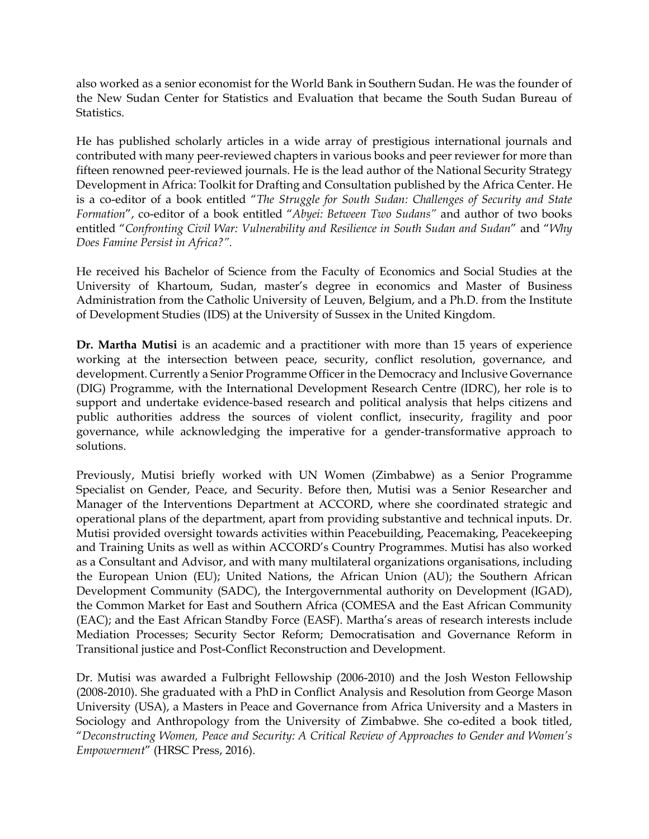also worked as a senior economist for the World Bank in Southern Sudan. He was the founder of the New Sudan Center for Statistics and Evaluation that became the South Sudan Bureau of Statistics.

He has published scholarly articles in a wide array of prestigious international journals and contributed with many peer-reviewed chapters in various books and peer reviewer for more than fifteen renowned peer-reviewed journals. He is the lead author of the National Security Strategy Development in Africa: Toolkit for Drafting and Consultation published by the Africa Center. He is a co-editor of a book entitled "*The Struggle for South Sudan: Challenges of Security and State Formation*", co-editor of a book entitled "*Abyei: Between Two Sudans"* and author of two books entitled "*Confronting Civil War: Vulnerability and Resilience in South Sudan and Sudan*" and "*Why Does Famine Persist in Africa?".*

He received his Bachelor of Science from the Faculty of Economics and Social Studies at the University of Khartoum, Sudan, master's degree in economics and Master of Business Administration from the Catholic University of Leuven, Belgium, and a Ph.D. from the Institute of Development Studies (IDS) at the University of Sussex in the United Kingdom.

**Dr. Martha Mutisi** is an academic and a practitioner with more than 15 years of experience working at the intersection between peace, security, conflict resolution, governance, and development. Currently a Senior Programme Officer in the Democracy and Inclusive Governance (DIG) Programme, with the International Development Research Centre (IDRC), her role is to support and undertake evidence-based research and political analysis that helps citizens and public authorities address the sources of violent conflict, insecurity, fragility and poor governance, while acknowledging the imperative for a gender-transformative approach to solutions.

Previously, Mutisi briefly worked with UN Women (Zimbabwe) as a Senior Programme Specialist on Gender, Peace, and Security. Before then, Mutisi was a Senior Researcher and Manager of the Interventions Department at ACCORD, where she coordinated strategic and operational plans of the department, apart from providing substantive and technical inputs. Dr. Mutisi provided oversight towards activities within Peacebuilding, Peacemaking, Peacekeeping and Training Units as well as within ACCORD's Country Programmes. Mutisi has also worked as a Consultant and Advisor, and with many multilateral organizations organisations, including the European Union (EU); United Nations, the African Union (AU); the Southern African Development Community (SADC), the Intergovernmental authority on Development (IGAD), the Common Market for East and Southern Africa (COMESA and the East African Community (EAC); and the East African Standby Force (EASF). Martha's areas of research interests include Mediation Processes; Security Sector Reform; Democratisation and Governance Reform in Transitional justice and Post-Conflict Reconstruction and Development.

Dr. Mutisi was awarded a Fulbright Fellowship (2006-2010) and the Josh Weston Fellowship (2008-2010). She graduated with a PhD in Conflict Analysis and Resolution from George Mason University (USA), a Masters in Peace and Governance from Africa University and a Masters in Sociology and Anthropology from the University of Zimbabwe. She co-edited a book titled, "*Deconstructing Women, Peace and Security: A Critical Review of Approaches to Gender and Women's Empowerment*" (HRSC Press, 2016).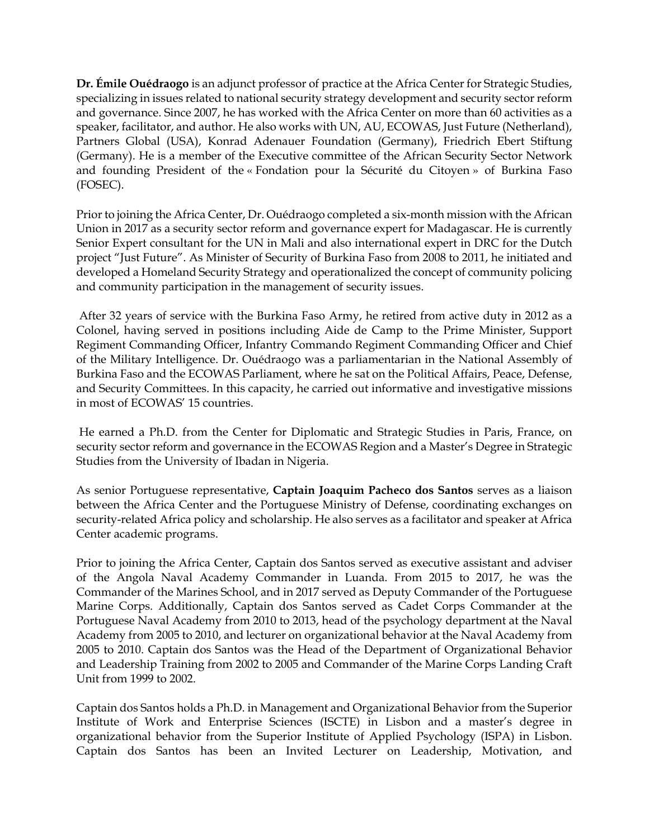**Dr. Émile Ouédraogo** is an adjunct professor of practice at the Africa Center for Strategic Studies, specializing in issues related to national security strategy development and security sector reform and governance. Since 2007, he has worked with the Africa Center on more than 60 activities as a speaker, facilitator, and author. He also works with UN, AU, ECOWAS, Just Future (Netherland), Partners Global (USA), Konrad Adenauer Foundation (Germany), Friedrich Ebert Stiftung (Germany). He is a member of the Executive committee of the African Security Sector Network and founding President of the « Fondation pour la Sécurité du Citoyen » of Burkina Faso (FOSEC).

Prior to joining the Africa Center, Dr. Ouédraogo completed a six-month mission with the African Union in 2017 as a security sector reform and governance expert for Madagascar. He is currently Senior Expert consultant for the UN in Mali and also international expert in DRC for the Dutch project "Just Future". As Minister of Security of Burkina Faso from 2008 to 2011, he initiated and developed a Homeland Security Strategy and operationalized the concept of community policing and community participation in the management of security issues.

After 32 years of service with the Burkina Faso Army, he retired from active duty in 2012 as a Colonel, having served in positions including Aide de Camp to the Prime Minister, Support Regiment Commanding Officer, Infantry Commando Regiment Commanding Officer and Chief of the Military Intelligence. Dr. Ouédraogo was a parliamentarian in the National Assembly of Burkina Faso and the ECOWAS Parliament, where he sat on the Political Affairs, Peace, Defense, and Security Committees. In this capacity, he carried out informative and investigative missions in most of ECOWAS' 15 countries.

He earned a Ph.D. from the Center for Diplomatic and Strategic Studies in Paris, France, on security sector reform and governance in the ECOWAS Region and a Master's Degree in Strategic Studies from the University of Ibadan in Nigeria.

As senior Portuguese representative, **Captain Joaquim Pacheco dos Santos** serves as a liaison between the Africa Center and the Portuguese Ministry of Defense, coordinating exchanges on security-related Africa policy and scholarship. He also serves as a facilitator and speaker at Africa Center academic programs.

Prior to joining the Africa Center, Captain dos Santos served as executive assistant and adviser of the Angola Naval Academy Commander in Luanda. From 2015 to 2017, he was the Commander of the Marines School, and in 2017 served as Deputy Commander of the Portuguese Marine Corps. Additionally, Captain dos Santos served as Cadet Corps Commander at the Portuguese Naval Academy from 2010 to 2013, head of the psychology department at the Naval Academy from 2005 to 2010, and lecturer on organizational behavior at the Naval Academy from 2005 to 2010. Captain dos Santos was the Head of the Department of Organizational Behavior and Leadership Training from 2002 to 2005 and Commander of the Marine Corps Landing Craft Unit from 1999 to 2002.

Captain dos Santos holds a Ph.D. in Management and Organizational Behavior from the Superior Institute of Work and Enterprise Sciences (ISCTE) in Lisbon and a master's degree in organizational behavior from the Superior Institute of Applied Psychology (ISPA) in Lisbon. Captain dos Santos has been an Invited Lecturer on Leadership, Motivation, and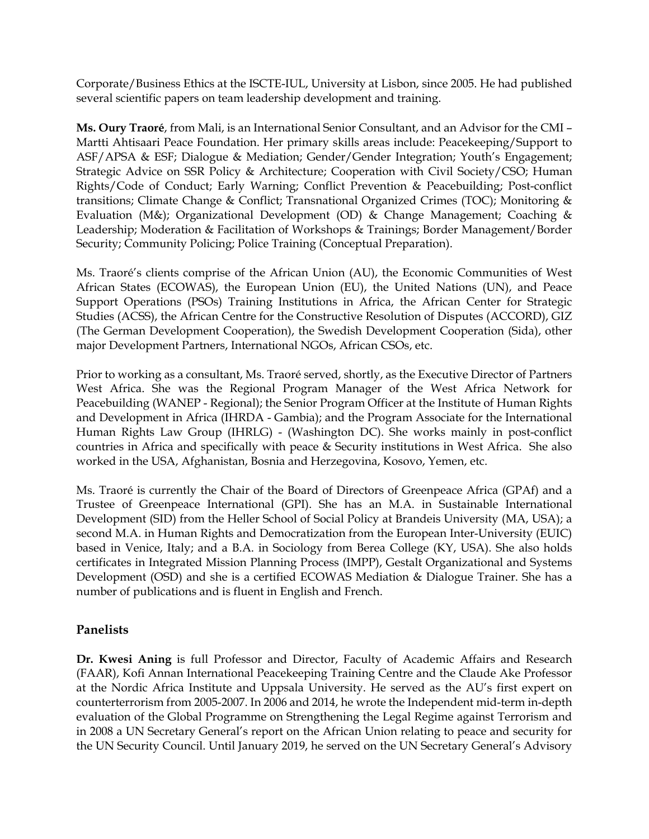Corporate/Business Ethics at the ISCTE-IUL, University at Lisbon, since 2005. He had published several scientific papers on team leadership development and training.

**Ms. Oury Traoré**, from Mali, is an International Senior Consultant, and an Advisor for the CMI – Martti Ahtisaari Peace Foundation. Her primary skills areas include: Peacekeeping/Support to ASF/APSA & ESF; Dialogue & Mediation; Gender/Gender Integration; Youth's Engagement; Strategic Advice on SSR Policy & Architecture; Cooperation with Civil Society/CSO; Human Rights/Code of Conduct; Early Warning; Conflict Prevention & Peacebuilding; Post-conflict transitions; Climate Change & Conflict; Transnational Organized Crimes (TOC); Monitoring & Evaluation (M&); Organizational Development (OD) & Change Management; Coaching & Leadership; Moderation & Facilitation of Workshops & Trainings; Border Management/Border Security; Community Policing; Police Training (Conceptual Preparation).

Ms. Traoré's clients comprise of the African Union (AU), the Economic Communities of West African States (ECOWAS), the European Union (EU), the United Nations (UN), and Peace Support Operations (PSOs) Training Institutions in Africa, the African Center for Strategic Studies (ACSS), the African Centre for the Constructive Resolution of Disputes (ACCORD), GIZ (The German Development Cooperation), the Swedish Development Cooperation (Sida), other major Development Partners, International NGOs, African CSOs, etc.

Prior to working as a consultant, Ms. Traoré served, shortly, as the Executive Director of Partners West Africa. She was the Regional Program Manager of the West Africa Network for Peacebuilding (WANEP - Regional); the Senior Program Officer at the Institute of Human Rights and Development in Africa (IHRDA - Gambia); and the Program Associate for the International Human Rights Law Group (IHRLG) - (Washington DC). She works mainly in post-conflict countries in Africa and specifically with peace & Security institutions in West Africa. She also worked in the USA, Afghanistan, Bosnia and Herzegovina, Kosovo, Yemen, etc.

Ms. Traoré is currently the Chair of the Board of Directors of Greenpeace Africa (GPAf) and a Trustee of Greenpeace International (GPI). She has an M.A. in Sustainable International Development (SID) from the Heller School of Social Policy at Brandeis University (MA, USA); a second M.A. in Human Rights and Democratization from the European Inter-University (EUIC) based in Venice, Italy; and a B.A. in Sociology from Berea College (KY, USA). She also holds certificates in Integrated Mission Planning Process (IMPP), Gestalt Organizational and Systems Development (OSD) and she is a certified ECOWAS Mediation & Dialogue Trainer. She has a number of publications and is fluent in English and French.

#### **Panelists**

**Dr. Kwesi Aning** is full Professor and Director, Faculty of Academic Affairs and Research (FAAR), Kofi Annan International Peacekeeping Training Centre and the Claude Ake Professor at the Nordic Africa Institute and Uppsala University. He served as the AU's first expert on counterterrorism from 2005-2007. In 2006 and 2014, he wrote the Independent mid-term in-depth evaluation of the Global Programme on Strengthening the Legal Regime against Terrorism and in 2008 a UN Secretary General's report on the African Union relating to peace and security for the UN Security Council. Until January 2019, he served on the UN Secretary General's Advisory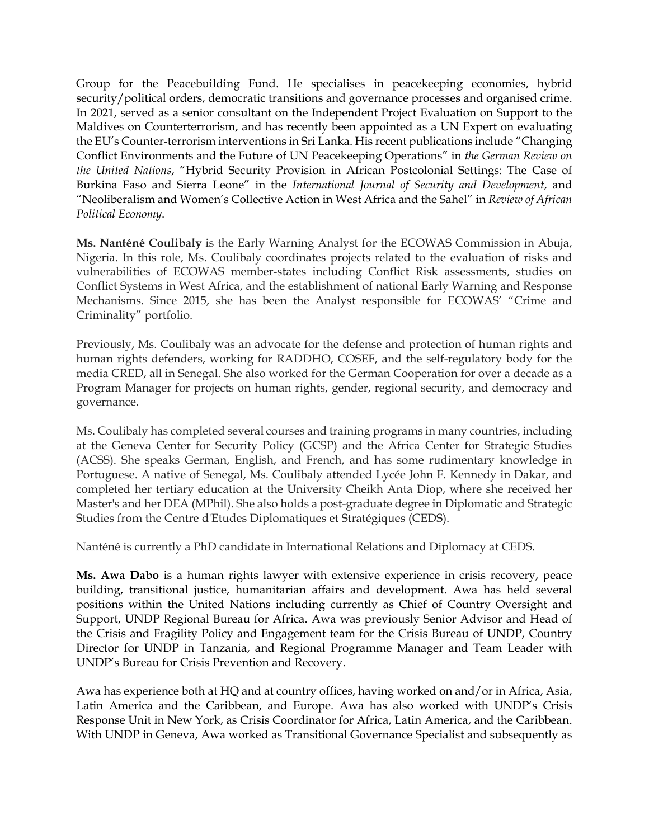Group for the Peacebuilding Fund. He specialises in peacekeeping economies, hybrid security/political orders, democratic transitions and governance processes and organised crime. In 2021, served as a senior consultant on the Independent Project Evaluation on Support to the Maldives on Counterterrorism, and has recently been appointed as a UN Expert on evaluating the EU's Counter-terrorism interventions in Sri Lanka. His recent publications include "Changing Conflict Environments and the Future of UN Peacekeeping Operations" in *the German Review on the United Nations*, "Hybrid Security Provision in African Postcolonial Settings: The Case of Burkina Faso and Sierra Leone" in the *International Journal of Security and Development*, and "Neoliberalism and Women's Collective Action in West Africa and the Sahel" in *Review of African Political Economy*.

**Ms. Nanténé Coulibaly** is the Early Warning Analyst for the ECOWAS Commission in Abuja, Nigeria. In this role, Ms. Coulibaly coordinates projects related to the evaluation of risks and vulnerabilities of ECOWAS member-states including Conflict Risk assessments, studies on Conflict Systems in West Africa, and the establishment of national Early Warning and Response Mechanisms. Since 2015, she has been the Analyst responsible for ECOWAS' "Crime and Criminality" portfolio.

Previously, Ms. Coulibaly was an advocate for the defense and protection of human rights and human rights defenders, working for RADDHO, COSEF, and the self-regulatory body for the media CRED, all in Senegal. She also worked for the German Cooperation for over a decade as a Program Manager for projects on human rights, gender, regional security, and democracy and governance.

Ms. Coulibaly has completed several courses and training programs in many countries, including at the Geneva Center for Security Policy (GCSP) and the Africa Center for Strategic Studies (ACSS). She speaks German, English, and French, and has some rudimentary knowledge in Portuguese. A native of Senegal, Ms. Coulibaly attended Lycée John F. Kennedy in Dakar, and completed her tertiary education at the University Cheikh Anta Diop, where she received her Master's and her DEA (MPhil). She also holds a post-graduate degree in Diplomatic and Strategic Studies from the Centre d'Etudes Diplomatiques et Stratégiques (CEDS).

Nanténé is currently a PhD candidate in International Relations and Diplomacy at CEDS.

**Ms. Awa Dabo** is a human rights lawyer with extensive experience in crisis recovery, peace building, transitional justice, humanitarian affairs and development. Awa has held several positions within the United Nations including currently as Chief of Country Oversight and Support, UNDP Regional Bureau for Africa. Awa was previously Senior Advisor and Head of the Crisis and Fragility Policy and Engagement team for the Crisis Bureau of UNDP, Country Director for UNDP in Tanzania, and Regional Programme Manager and Team Leader with UNDP's Bureau for Crisis Prevention and Recovery.

Awa has experience both at HQ and at country offices, having worked on and/or in Africa, Asia, Latin America and the Caribbean, and Europe. Awa has also worked with UNDP's Crisis Response Unit in New York, as Crisis Coordinator for Africa, Latin America, and the Caribbean. With UNDP in Geneva, Awa worked as Transitional Governance Specialist and subsequently as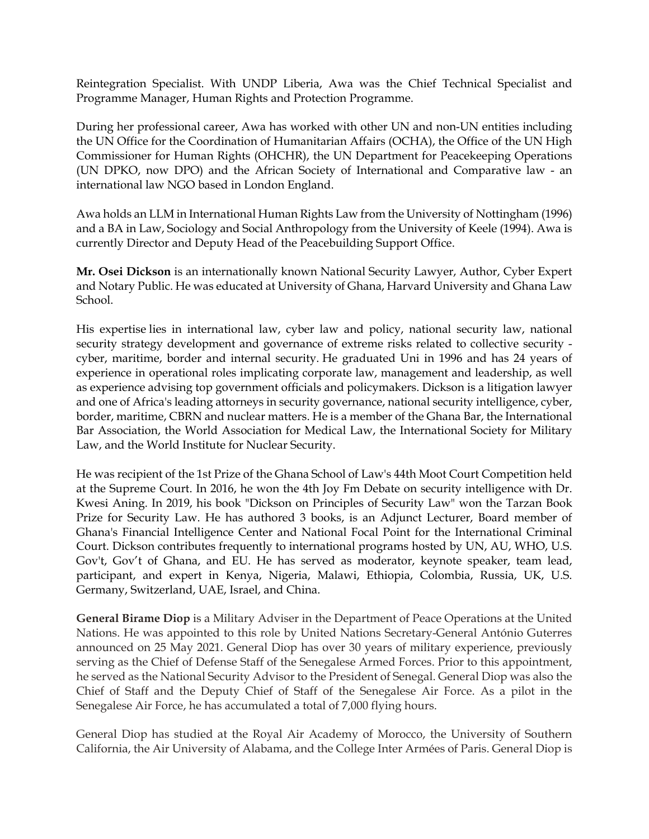Reintegration Specialist. With UNDP Liberia, Awa was the Chief Technical Specialist and Programme Manager, Human Rights and Protection Programme.

During her professional career, Awa has worked with other UN and non-UN entities including the UN Office for the Coordination of Humanitarian Affairs (OCHA), the Office of the UN High Commissioner for Human Rights (OHCHR), the UN Department for Peacekeeping Operations (UN DPKO, now DPO) and the African Society of International and Comparative law - an international law NGO based in London England.

Awa holds an LLM in International Human Rights Law from the University of Nottingham (1996) and a BA in Law, Sociology and Social Anthropology from the University of Keele (1994). Awa is currently Director and Deputy Head of the Peacebuilding Support Office.

**Mr. Osei Dickson** is an internationally known National Security Lawyer, Author, Cyber Expert and Notary Public. He was educated at University of Ghana, Harvard University and Ghana Law School.

His expertise lies in international law, cyber law and policy, national security law, national security strategy development and governance of extreme risks related to collective security cyber, maritime, border and internal security. He graduated Uni in 1996 and has 24 years of experience in operational roles implicating corporate law, management and leadership, as well as experience advising top government officials and policymakers. Dickson is a litigation lawyer and one of Africa's leading attorneys in security governance, national security intelligence, cyber, border, maritime, CBRN and nuclear matters. He is a member of the Ghana Bar, the International Bar Association, the World Association for Medical Law, the International Society for Military Law, and the World Institute for Nuclear Security.

He was recipient of the 1st Prize of the Ghana School of Law's 44th Moot Court Competition held at the Supreme Court. In 2016, he won the 4th Joy Fm Debate on security intelligence with Dr. Kwesi Aning. In 2019, his book "Dickson on Principles of Security Law" won the Tarzan Book Prize for Security Law. He has authored 3 books, is an Adjunct Lecturer, Board member of Ghana's Financial Intelligence Center and National Focal Point for the International Criminal Court. Dickson contributes frequently to international programs hosted by UN, AU, WHO, U.S. Gov't, Gov't of Ghana, and EU. He has served as moderator, keynote speaker, team lead, participant, and expert in Kenya, Nigeria, Malawi, Ethiopia, Colombia, Russia, UK, U.S. Germany, Switzerland, UAE, Israel, and China.

**General Birame Diop** is a Military Adviser in the Department of Peace Operations at the United Nations. He was appointed to this role by United Nations Secretary-General António Guterres announced on 25 May 2021. General Diop has over 30 years of military experience, previously serving as the Chief of Defense Staff of the Senegalese Armed Forces. Prior to this appointment, he served as the National Security Advisor to the President of Senegal. General Diop was also the Chief of Staff and the Deputy Chief of Staff of the Senegalese Air Force. As a pilot in the Senegalese Air Force, he has accumulated a total of 7,000 flying hours.

General Diop has studied at the Royal Air Academy of Morocco, the University of Southern California, the Air University of Alabama, and the College Inter Armées of Paris. General Diop is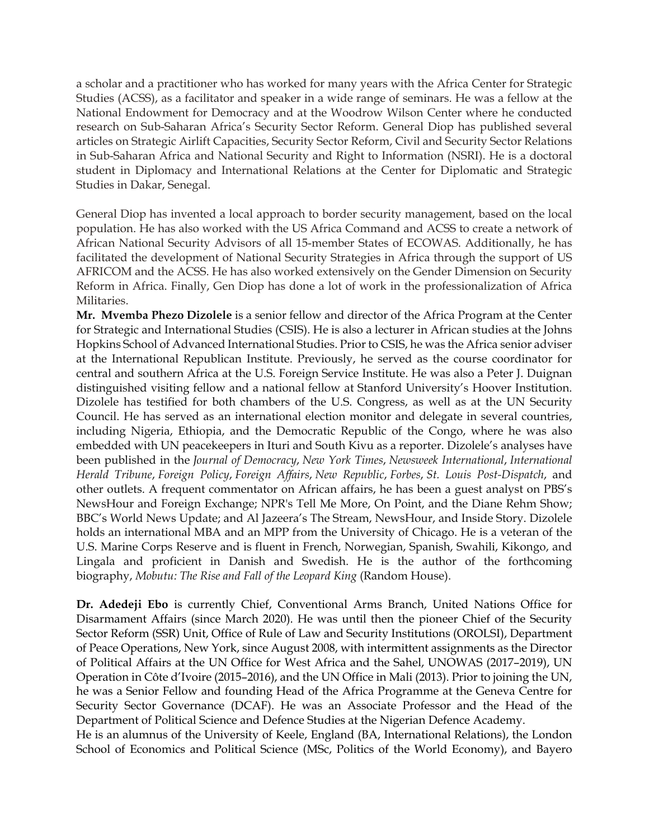a scholar and a practitioner who has worked for many years with the Africa Center for Strategic Studies (ACSS), as a facilitator and speaker in a wide range of seminars. He was a fellow at the National Endowment for Democracy and at the Woodrow Wilson Center where he conducted research on Sub-Saharan Africa's Security Sector Reform. General Diop has published several articles on Strategic Airlift Capacities, Security Sector Reform, Civil and Security Sector Relations in Sub-Saharan Africa and National Security and Right to Information (NSRI). He is a doctoral student in Diplomacy and International Relations at the Center for Diplomatic and Strategic Studies in Dakar, Senegal.

General Diop has invented a local approach to border security management, based on the local population. He has also worked with the US Africa Command and ACSS to create a network of African National Security Advisors of all 15-member States of ECOWAS. Additionally, he has facilitated the development of National Security Strategies in Africa through the support of US AFRICOM and the ACSS. He has also worked extensively on the Gender Dimension on Security Reform in Africa. Finally, Gen Diop has done a lot of work in the professionalization of Africa Militaries.

**Mr. Mvemba Phezo Dizolele** is a senior fellow and director of the Africa Program at the Center for Strategic and International Studies (CSIS). He is also a lecturer in African studies at the Johns Hopkins School of Advanced International Studies. Prior to CSIS, he was the Africa senior adviser at the International Republican Institute. Previously, he served as the course coordinator for central and southern Africa at the U.S. Foreign Service Institute. He was also a Peter J. Duignan distinguished visiting fellow and a national fellow at Stanford University's Hoover Institution. Dizolele has testified for both chambers of the U.S. Congress, as well as at the UN Security Council. He has served as an international election monitor and delegate in several countries, including Nigeria, Ethiopia, and the Democratic Republic of the Congo, where he was also embedded with UN peacekeepers in Ituri and South Kivu as a reporter. Dizolele's analyses have been published in the *Journal of Democracy*, *New York Times*, *Newsweek International*, *International Herald Tribune*, *Foreign Policy*, *Foreign Affairs*, *New Republic*, *Forbes*, *St. Louis Post-Dispatch*, and other outlets. A frequent commentator on African affairs, he has been a guest analyst on PBS's NewsHour and Foreign Exchange; NPR's Tell Me More, On Point, and the Diane Rehm Show; BBC's World News Update; and Al Jazeera's The Stream, NewsHour, and Inside Story. Dizolele holds an international MBA and an MPP from the University of Chicago. He is a veteran of the U.S. Marine Corps Reserve and is fluent in French, Norwegian, Spanish, Swahili, Kikongo, and Lingala and proficient in Danish and Swedish. He is the author of the forthcoming biography, *Mobutu: The Rise and Fall of the Leopard King* (Random House).

**Dr. Adedeji Ebo** is currently Chief, Conventional Arms Branch, United Nations Office for Disarmament Affairs (since March 2020). He was until then the pioneer Chief of the Security Sector Reform (SSR) Unit, Office of Rule of Law and Security Institutions (OROLSI), Department of Peace Operations, New York, since August 2008, with intermittent assignments as the Director of Political Affairs at the UN Office for West Africa and the Sahel, UNOWAS (2017–2019), UN Operation in Côte d'Ivoire (2015–2016), and the UN Office in Mali (2013). Prior to joining the UN, he was a Senior Fellow and founding Head of the Africa Programme at the Geneva Centre for Security Sector Governance (DCAF). He was an Associate Professor and the Head of the Department of Political Science and Defence Studies at the Nigerian Defence Academy.

He is an alumnus of the University of Keele, England (BA, International Relations), the London School of Economics and Political Science (MSc, Politics of the World Economy), and Bayero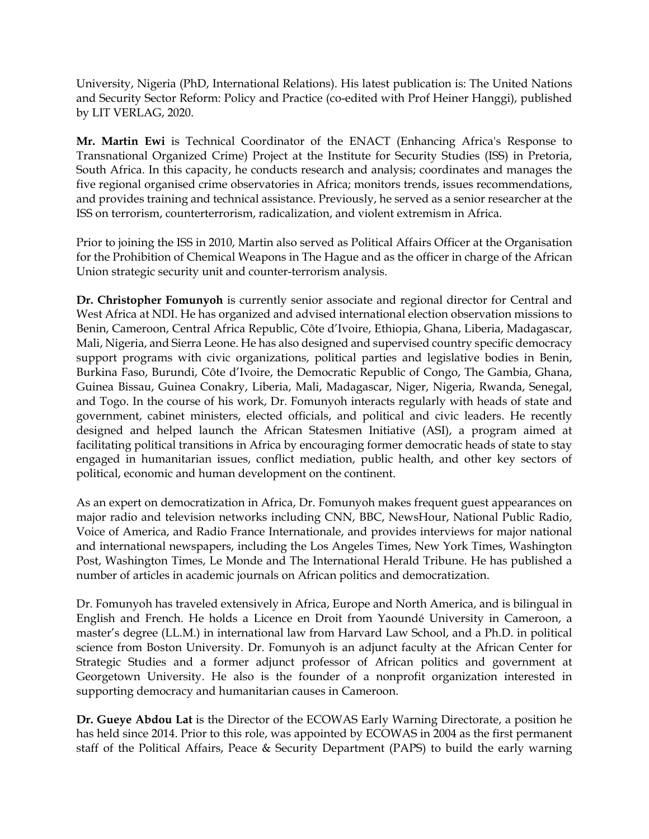University, Nigeria (PhD, International Relations). His latest publication is: The United Nations and Security Sector Reform: Policy and Practice (co-edited with Prof Heiner Hanggi), published by LIT VERLAG, 2020.

**Mr. Martin Ewi** is Technical Coordinator of the ENACT (Enhancing Africa's Response to Transnational Organized Crime) Project at the Institute for Security Studies (ISS) in Pretoria, South Africa. In this capacity, he conducts research and analysis; coordinates and manages the five regional organised crime observatories in Africa; monitors trends, issues recommendations, and provides training and technical assistance. Previously, he served as a senior researcher at the ISS on terrorism, counterterrorism, radicalization, and violent extremism in Africa.

Prior to joining the ISS in 2010, Martin also served as Political Affairs Officer at the Organisation for the Prohibition of Chemical Weapons in The Hague and as the officer in charge of the African Union strategic security unit and counter-terrorism analysis.

**Dr. Christopher Fomunyoh** is currently senior associate and regional director for Central and West Africa at NDI. He has organized and advised international election observation missions to Benin, Cameroon, Central Africa Republic, Côte d'Ivoire, Ethiopia, Ghana, Liberia, Madagascar, Mali, Nigeria, and Sierra Leone. He has also designed and supervised country specific democracy support programs with civic organizations, political parties and legislative bodies in Benin, Burkina Faso, Burundi, Côte d'Ivoire, the Democratic Republic of Congo, The Gambia, Ghana, Guinea Bissau, Guinea Conakry, Liberia, Mali, Madagascar, Niger, Nigeria, Rwanda, Senegal, and Togo. In the course of his work, Dr. Fomunyoh interacts regularly with heads of state and government, cabinet ministers, elected officials, and political and civic leaders. He recently designed and helped launch the African Statesmen Initiative (ASI), a program aimed at facilitating political transitions in Africa by encouraging former democratic heads of state to stay engaged in humanitarian issues, conflict mediation, public health, and other key sectors of political, economic and human development on the continent.

As an expert on democratization in Africa, Dr. Fomunyoh makes frequent guest appearances on major radio and television networks including CNN, BBC, NewsHour, National Public Radio, Voice of America, and Radio France Internationale, and provides interviews for major national and international newspapers, including the Los Angeles Times, New York Times, Washington Post, Washington Times, Le Monde and The International Herald Tribune. He has published a number of articles in academic journals on African politics and democratization.

Dr. Fomunyoh has traveled extensively in Africa, Europe and North America, and is bilingual in English and French. He holds a Licence en Droit from Yaoundé University in Cameroon, a master's degree (LL.M.) in international law from Harvard Law School, and a Ph.D. in political science from Boston University. Dr. Fomunyoh is an adjunct faculty at the African Center for Strategic Studies and a former adjunct professor of African politics and government at Georgetown University. He also is the founder of a nonprofit organization interested in supporting democracy and humanitarian causes in Cameroon.

**Dr. Gueye Abdou Lat** is the Director of the ECOWAS Early Warning Directorate, a position he has held since 2014. Prior to this role, was appointed by ECOWAS in 2004 as the first permanent staff of the Political Affairs, Peace & Security Department (PAPS) to build the early warning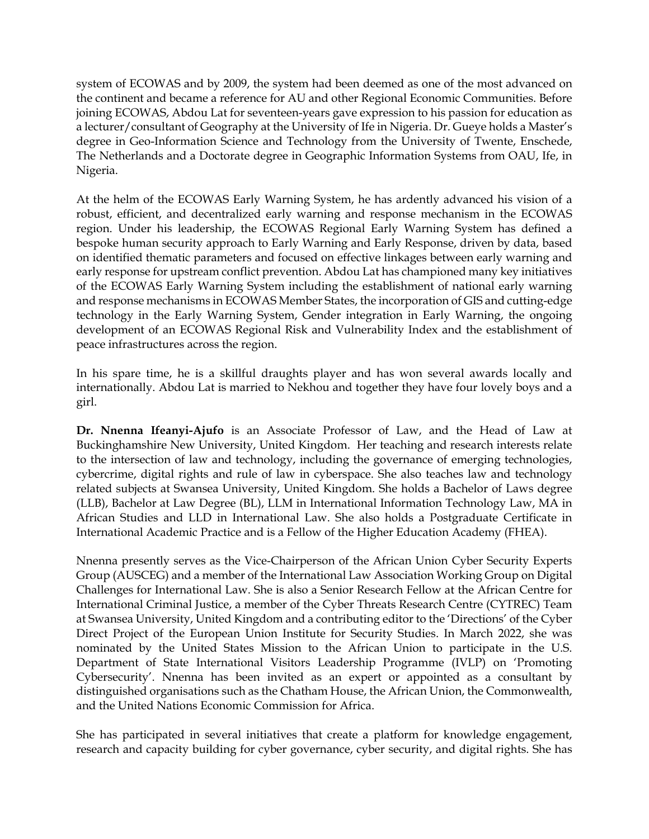system of ECOWAS and by 2009, the system had been deemed as one of the most advanced on the continent and became a reference for AU and other Regional Economic Communities. Before joining ECOWAS, Abdou Lat for seventeen-years gave expression to his passion for education as a lecturer/consultant of Geography at the University of Ife in Nigeria. Dr. Gueye holds a Master's degree in Geo-Information Science and Technology from the University of Twente, Enschede, The Netherlands and a Doctorate degree in Geographic Information Systems from OAU, Ife, in Nigeria.

At the helm of the ECOWAS Early Warning System, he has ardently advanced his vision of a robust, efficient, and decentralized early warning and response mechanism in the ECOWAS region. Under his leadership, the ECOWAS Regional Early Warning System has defined a bespoke human security approach to Early Warning and Early Response, driven by data, based on identified thematic parameters and focused on effective linkages between early warning and early response for upstream conflict prevention. Abdou Lat has championed many key initiatives of the ECOWAS Early Warning System including the establishment of national early warning and response mechanisms in ECOWAS Member States, the incorporation of GIS and cutting-edge technology in the Early Warning System, Gender integration in Early Warning, the ongoing development of an ECOWAS Regional Risk and Vulnerability Index and the establishment of peace infrastructures across the region.

In his spare time, he is a skillful draughts player and has won several awards locally and internationally. Abdou Lat is married to Nekhou and together they have four lovely boys and a girl.

**Dr. Nnenna Ifeanyi-Ajufo** is an Associate Professor of Law, and the Head of Law at Buckinghamshire New University, United Kingdom. Her teaching and research interests relate to the intersection of law and technology, including the governance of emerging technologies, cybercrime, digital rights and rule of law in cyberspace. She also teaches law and technology related subjects at Swansea University, United Kingdom. She holds a Bachelor of Laws degree (LLB), Bachelor at Law Degree (BL), LLM in International Information Technology Law, MA in African Studies and LLD in International Law. She also holds a Postgraduate Certificate in International Academic Practice and is a Fellow of the Higher Education Academy (FHEA).

Nnenna presently serves as the Vice-Chairperson of the African Union Cyber Security Experts Group (AUSCEG) and a member of the International Law Association Working Group on Digital Challenges for International Law. She is also a Senior Research Fellow at the African Centre for International Criminal Justice, a member of the Cyber Threats Research Centre (CYTREC) Team at Swansea University, United Kingdom and a contributing editor to the 'Directions' of the Cyber Direct Project of the European Union Institute for Security Studies. In March 2022, she was nominated by the United States Mission to the African Union to participate in the U.S. Department of State International Visitors Leadership Programme (IVLP) on 'Promoting Cybersecurity'. Nnenna has been invited as an expert or appointed as a consultant by distinguished organisations such as the Chatham House, the African Union, the Commonwealth, and the United Nations Economic Commission for Africa.

She has participated in several initiatives that create a platform for knowledge engagement, research and capacity building for cyber governance, cyber security, and digital rights. She has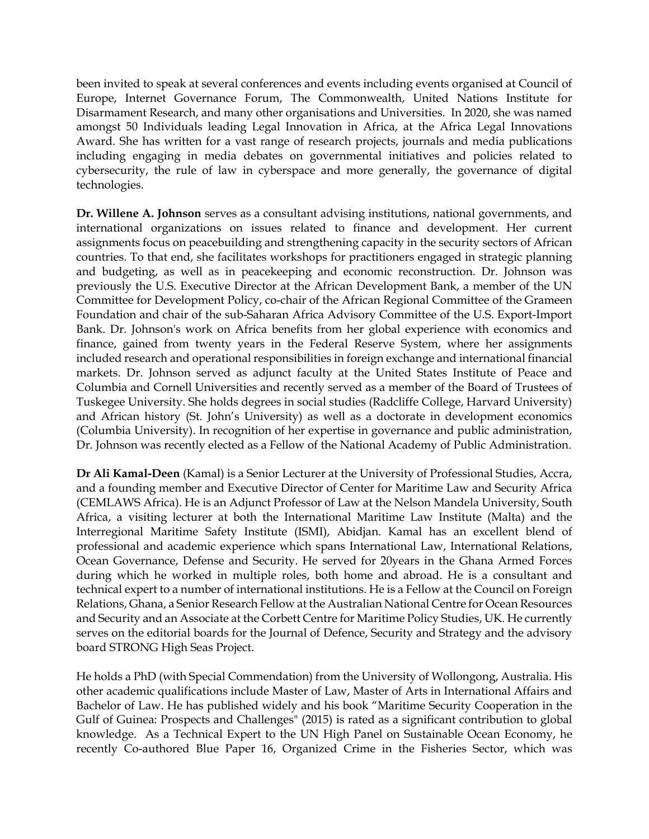been invited to speak at several conferences and events including events organised at Council of Europe, Internet Governance Forum, The Commonwealth, United Nations Institute for Disarmament Research, and many other organisations and Universities. In 2020, she was named amongst 50 Individuals leading Legal Innovation in Africa, at the Africa Legal Innovations Award. She has written for a vast range of research projects, journals and media publications including engaging in media debates on governmental initiatives and policies related to cybersecurity, the rule of law in cyberspace and more generally, the governance of digital technologies.

**Dr. Willene A. Johnson** serves as a consultant advising institutions, national governments, and international organizations on issues related to finance and development. Her current assignments focus on peacebuilding and strengthening capacity in the security sectors of African countries. To that end, she facilitates workshops for practitioners engaged in strategic planning and budgeting, as well as in peacekeeping and economic reconstruction. Dr. Johnson was previously the U.S. Executive Director at the African Development Bank, a member of the UN Committee for Development Policy, co-chair of the African Regional Committee of the Grameen Foundation and chair of the sub-Saharan Africa Advisory Committee of the U.S. Export-Import Bank. Dr. Johnson's work on Africa benefits from her global experience with economics and finance, gained from twenty years in the Federal Reserve System, where her assignments included research and operational responsibilities in foreign exchange and international financial markets. Dr. Johnson served as adjunct faculty at the United States Institute of Peace and Columbia and Cornell Universities and recently served as a member of the Board of Trustees of Tuskegee University. She holds degrees in social studies (Radcliffe College, Harvard University) and African history (St. John's University) as well as a doctorate in development economics (Columbia University). In recognition of her expertise in governance and public administration, Dr. Johnson was recently elected as a Fellow of the National Academy of Public Administration.

**Dr Ali Kamal-Deen** (Kamal) is a Senior Lecturer at the University of Professional Studies, Accra, and a founding member and Executive Director of Center for Maritime Law and Security Africa (CEMLAWS Africa). He is an Adjunct Professor of Law at the Nelson Mandela University, South Africa, a visiting lecturer at both the International Maritime Law Institute (Malta) and the Interregional Maritime Safety Institute (ISMI), Abidjan. Kamal has an excellent blend of professional and academic experience which spans International Law, International Relations, Ocean Governance, Defense and Security. He served for 20years in the Ghana Armed Forces during which he worked in multiple roles, both home and abroad. He is a consultant and technical expert to a number of international institutions. He is a Fellow at the Council on Foreign Relations, Ghana, a Senior Research Fellow at the Australian National Centre for Ocean Resources and Security and an Associate at the Corbett Centre for Maritime Policy Studies, UK. He currently serves on the editorial boards for the Journal of Defence, Security and Strategy and the advisory board STRONG High Seas Project.

He holds a PhD (with Special Commendation) from the University of Wollongong, Australia. His other academic qualifications include Master of Law, Master of Arts in International Affairs and Bachelor of Law. He has published widely and his book "Maritime Security Cooperation in the Gulf of Guinea: Prospects and Challenges" (2015) is rated as a significant contribution to global knowledge. As a Technical Expert to the UN High Panel on Sustainable Ocean Economy, he recently Co-authored Blue Paper 16, Organized Crime in the Fisheries Sector, which was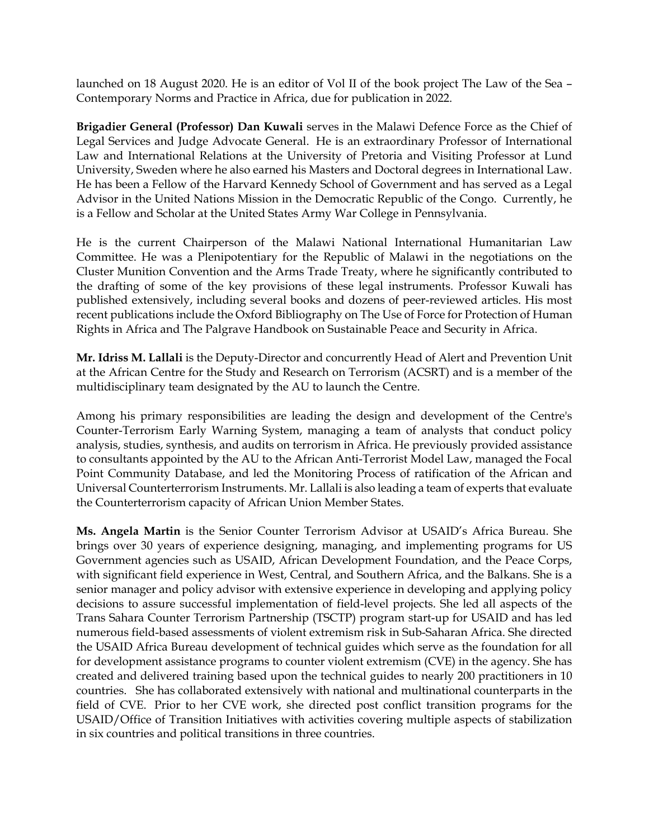launched on 18 August 2020. He is an editor of Vol II of the book project The Law of the Sea – Contemporary Norms and Practice in Africa, due for publication in 2022.

**Brigadier General (Professor) Dan Kuwali** serves in the Malawi Defence Force as the Chief of Legal Services and Judge Advocate General. He is an extraordinary Professor of International Law and International Relations at the University of Pretoria and Visiting Professor at Lund University, Sweden where he also earned his Masters and Doctoral degrees in International Law. He has been a Fellow of the Harvard Kennedy School of Government and has served as a Legal Advisor in the United Nations Mission in the Democratic Republic of the Congo. Currently, he is a Fellow and Scholar at the United States Army War College in Pennsylvania.

He is the current Chairperson of the Malawi National International Humanitarian Law Committee. He was a Plenipotentiary for the Republic of Malawi in the negotiations on the Cluster Munition Convention and the Arms Trade Treaty, where he significantly contributed to the drafting of some of the key provisions of these legal instruments. Professor Kuwali has published extensively, including several books and dozens of peer-reviewed articles. His most recent publications include the Oxford Bibliography on The Use of Force for Protection of Human Rights in Africa and The Palgrave Handbook on Sustainable Peace and Security in Africa.

**Mr. Idriss M. Lallali** is the Deputy-Director and concurrently Head of Alert and Prevention Unit at the African Centre for the Study and Research on Terrorism (ACSRT) and is a member of the multidisciplinary team designated by the AU to launch the Centre.

Among his primary responsibilities are leading the design and development of the Centre's Counter-Terrorism Early Warning System, managing a team of analysts that conduct policy analysis, studies, synthesis, and audits on terrorism in Africa. He previously provided assistance to consultants appointed by the AU to the African Anti-Terrorist Model Law, managed the Focal Point Community Database, and led the Monitoring Process of ratification of the African and Universal Counterterrorism Instruments. Mr. Lallali is also leading a team of experts that evaluate the Counterterrorism capacity of African Union Member States.

**Ms. Angela Martin** is the Senior Counter Terrorism Advisor at USAID's Africa Bureau. She brings over 30 years of experience designing, managing, and implementing programs for US Government agencies such as USAID, African Development Foundation, and the Peace Corps, with significant field experience in West, Central, and Southern Africa, and the Balkans. She is a senior manager and policy advisor with extensive experience in developing and applying policy decisions to assure successful implementation of field-level projects. She led all aspects of the Trans Sahara Counter Terrorism Partnership (TSCTP) program start-up for USAID and has led numerous field-based assessments of violent extremism risk in Sub-Saharan Africa. She directed the USAID Africa Bureau development of technical guides which serve as the foundation for all for development assistance programs to counter violent extremism (CVE) in the agency. She has created and delivered training based upon the technical guides to nearly 200 practitioners in 10 countries. She has collaborated extensively with national and multinational counterparts in the field of CVE. Prior to her CVE work, she directed post conflict transition programs for the USAID/Office of Transition Initiatives with activities covering multiple aspects of stabilization in six countries and political transitions in three countries.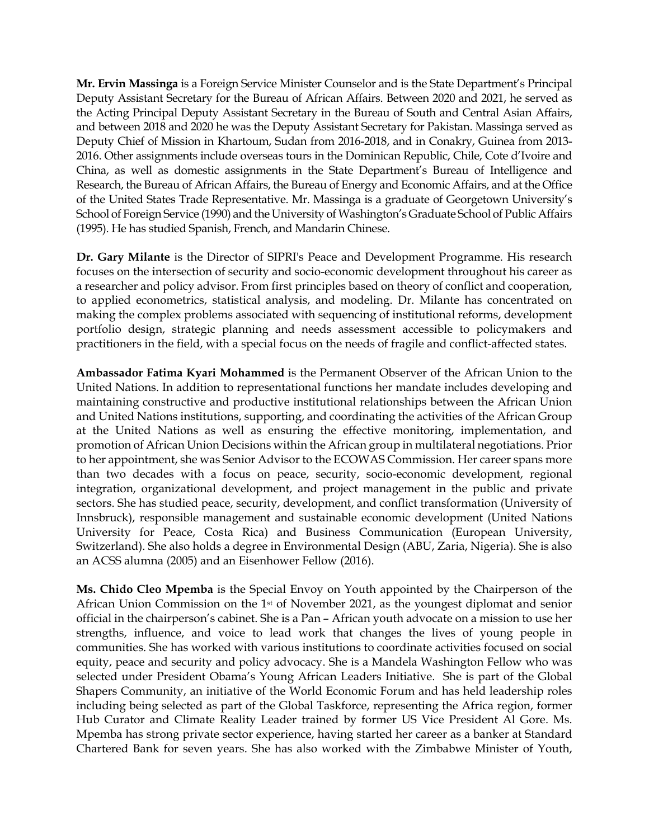**Mr. Ervin Massinga** is a Foreign Service Minister Counselor and is the State Department's Principal Deputy Assistant Secretary for the Bureau of African Affairs. Between 2020 and 2021, he served as the Acting Principal Deputy Assistant Secretary in the Bureau of South and Central Asian Affairs, and between 2018 and 2020 he was the Deputy Assistant Secretary for Pakistan. Massinga served as Deputy Chief of Mission in Khartoum, Sudan from 2016-2018, and in Conakry, Guinea from 2013- 2016. Other assignments include overseas tours in the Dominican Republic, Chile, Cote d'Ivoire and China, as well as domestic assignments in the State Department's Bureau of Intelligence and Research, the Bureau of African Affairs, the Bureau of Energy and Economic Affairs, and at the Office of the United States Trade Representative. Mr. Massinga is a graduate of Georgetown University's School of Foreign Service (1990) and the University of Washington's Graduate School of Public Affairs (1995). He has studied Spanish, French, and Mandarin Chinese.

**Dr. Gary Milante** is the Director of SIPRI's Peace and Development Programme. His research focuses on the intersection of security and socio-economic development throughout his career as a researcher and policy advisor. From first principles based on theory of conflict and cooperation, to applied econometrics, statistical analysis, and modeling. Dr. Milante has concentrated on making the complex problems associated with sequencing of institutional reforms, development portfolio design, strategic planning and needs assessment accessible to policymakers and practitioners in the field, with a special focus on the needs of fragile and conflict-affected states.

**Ambassador Fatima Kyari Mohammed** is the Permanent Observer of the African Union to the United Nations. In addition to representational functions her mandate includes developing and maintaining constructive and productive institutional relationships between the African Union and United Nations institutions, supporting, and coordinating the activities of the African Group at the United Nations as well as ensuring the effective monitoring, implementation, and promotion of African Union Decisions within the African group in multilateral negotiations. Prior to her appointment, she was Senior Advisor to the ECOWAS Commission. Her career spans more than two decades with a focus on peace, security, socio-economic development, regional integration, organizational development, and project management in the public and private sectors. She has studied peace, security, development, and conflict transformation (University of Innsbruck), responsible management and sustainable economic development (United Nations University for Peace, Costa Rica) and Business Communication (European University, Switzerland). She also holds a degree in Environmental Design (ABU, Zaria, Nigeria). She is also an ACSS alumna (2005) and an Eisenhower Fellow (2016).

**Ms. Chido Cleo Mpemba** is the Special Envoy on Youth appointed by the Chairperson of the African Union Commission on the 1st of November 2021, as the youngest diplomat and senior official in the chairperson's cabinet. She is a Pan – African youth advocate on a mission to use her strengths, influence, and voice to lead work that changes the lives of young people in communities. She has worked with various institutions to coordinate activities focused on social equity, peace and security and policy advocacy. She is a Mandela Washington Fellow who was selected under President Obama's Young African Leaders Initiative. She is part of the Global Shapers Community, an initiative of the World Economic Forum and has held leadership roles including being selected as part of the Global Taskforce, representing the Africa region, former Hub Curator and Climate Reality Leader trained by former US Vice President Al Gore. Ms. Mpemba has strong private sector experience, having started her career as a banker at Standard Chartered Bank for seven years. She has also worked with the Zimbabwe Minister of Youth,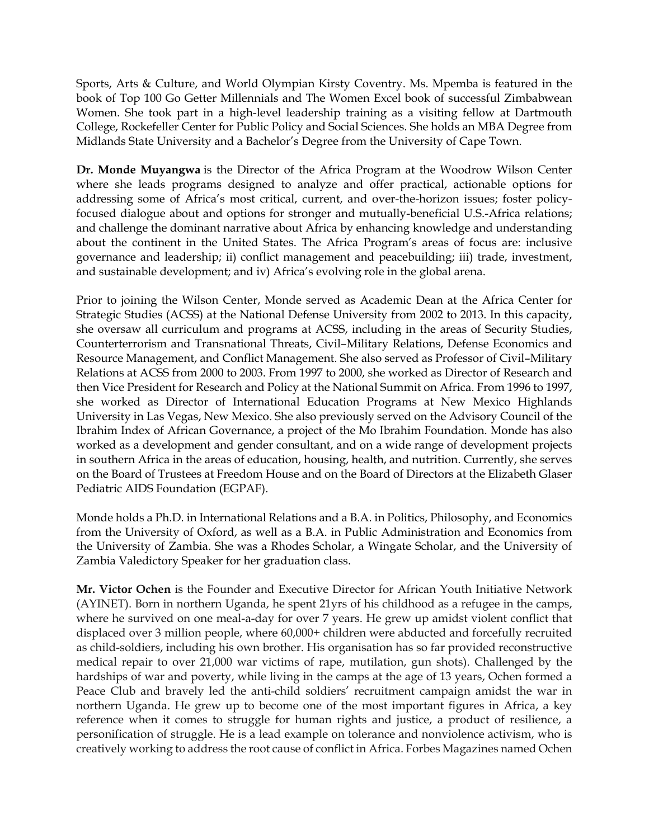Sports, Arts & Culture, and World Olympian Kirsty Coventry. Ms. Mpemba is featured in the book of Top 100 Go Getter Millennials and The Women Excel book of successful Zimbabwean Women. She took part in a high-level leadership training as a visiting fellow at Dartmouth College, Rockefeller Center for Public Policy and Social Sciences. She holds an MBA Degree from Midlands State University and a Bachelor's Degree from the University of Cape Town.

**Dr. Monde Muyangwa** is the Director of the Africa Program at the Woodrow Wilson Center where she leads programs designed to analyze and offer practical, actionable options for addressing some of Africa's most critical, current, and over-the-horizon issues; foster policyfocused dialogue about and options for stronger and mutually-beneficial U.S.-Africa relations; and challenge the dominant narrative about Africa by enhancing knowledge and understanding about the continent in the United States. The Africa Program's areas of focus are: inclusive governance and leadership; ii) conflict management and peacebuilding; iii) trade, investment, and sustainable development; and iv) Africa's evolving role in the global arena.

Prior to joining the Wilson Center, Monde served as Academic Dean at the Africa Center for Strategic Studies (ACSS) at the National Defense University from 2002 to 2013. In this capacity, she oversaw all curriculum and programs at ACSS, including in the areas of Security Studies, Counterterrorism and Transnational Threats, Civil–Military Relations, Defense Economics and Resource Management, and Conflict Management. She also served as Professor of Civil–Military Relations at ACSS from 2000 to 2003. From 1997 to 2000, she worked as Director of Research and then Vice President for Research and Policy at the National Summit on Africa. From 1996 to 1997, she worked as Director of International Education Programs at New Mexico Highlands University in Las Vegas, New Mexico. She also previously served on the Advisory Council of the Ibrahim Index of African Governance, a project of the Mo Ibrahim Foundation. Monde has also worked as a development and gender consultant, and on a wide range of development projects in southern Africa in the areas of education, housing, health, and nutrition. Currently, she serves on the Board of Trustees at Freedom House and on the Board of Directors at the Elizabeth Glaser Pediatric AIDS Foundation (EGPAF).

Monde holds a Ph.D. in International Relations and a B.A. in Politics, Philosophy, and Economics from the University of Oxford, as well as a B.A. in Public Administration and Economics from the University of Zambia. She was a Rhodes Scholar, a Wingate Scholar, and the University of Zambia Valedictory Speaker for her graduation class.

**Mr. Victor Ochen** is the Founder and Executive Director for African Youth Initiative Network (AYINET). Born in northern Uganda, he spent 21yrs of his childhood as a refugee in the camps, where he survived on one meal-a-day for over 7 years. He grew up amidst violent conflict that displaced over 3 million people, where 60,000+ children were abducted and forcefully recruited as child-soldiers, including his own brother. His organisation has so far provided reconstructive medical repair to over 21,000 war victims of rape, mutilation, gun shots). Challenged by the hardships of war and poverty, while living in the camps at the age of 13 years, Ochen formed a Peace Club and bravely led the anti-child soldiers' recruitment campaign amidst the war in northern Uganda. He grew up to become one of the most important figures in Africa, a key reference when it comes to struggle for human rights and justice, a product of resilience, a personification of struggle. He is a lead example on tolerance and nonviolence activism, who is creatively working to address the root cause of conflict in Africa. Forbes Magazines named Ochen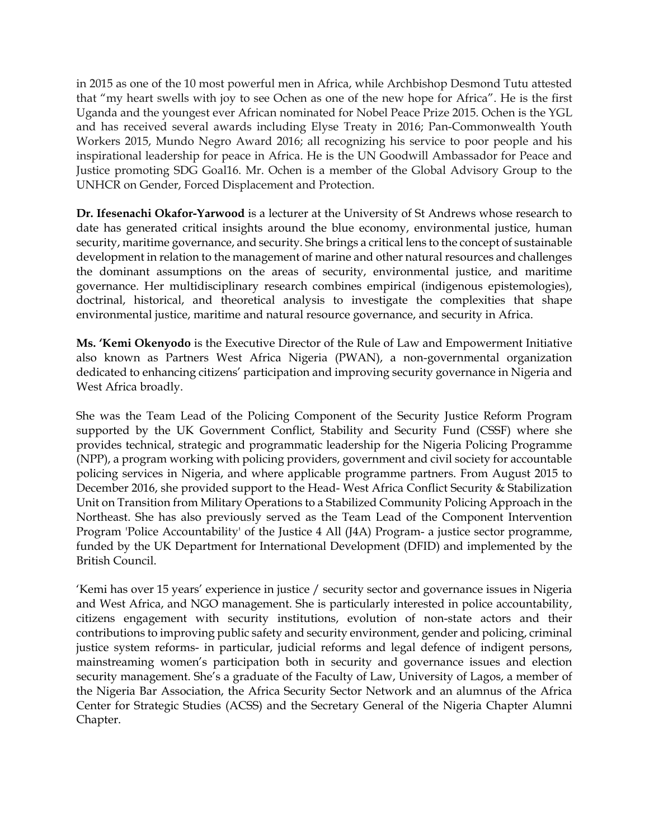in 2015 as one of the 10 most powerful men in Africa, while Archbishop Desmond Tutu attested that "my heart swells with joy to see Ochen as one of the new hope for Africa". He is the first Uganda and the youngest ever African nominated for Nobel Peace Prize 2015. Ochen is the YGL and has received several awards including Elyse Treaty in 2016; Pan-Commonwealth Youth Workers 2015, Mundo Negro Award 2016; all recognizing his service to poor people and his inspirational leadership for peace in Africa. He is the UN Goodwill Ambassador for Peace and Justice promoting SDG Goal16. Mr. Ochen is a member of the Global Advisory Group to the UNHCR on Gender, Forced Displacement and Protection.

**Dr. Ifesenachi Okafor-Yarwood** is a lecturer at the University of St Andrews whose research to date has generated critical insights around the blue economy, environmental justice, human security, maritime governance, and security. She brings a critical lens to the concept of sustainable development in relation to the management of marine and other natural resources and challenges the dominant assumptions on the areas of security, environmental justice, and maritime governance. Her multidisciplinary research combines empirical (indigenous epistemologies), doctrinal, historical, and theoretical analysis to investigate the complexities that shape environmental justice, maritime and natural resource governance, and security in Africa.

**Ms. 'Kemi Okenyodo** is the Executive Director of the Rule of Law and Empowerment Initiative also known as Partners West Africa Nigeria (PWAN), a non-governmental organization dedicated to enhancing citizens' participation and improving security governance in Nigeria and West Africa broadly.

She was the Team Lead of the Policing Component of the Security Justice Reform Program supported by the UK Government Conflict, Stability and Security Fund (CSSF) where she provides technical, strategic and programmatic leadership for the Nigeria Policing Programme (NPP), a program working with policing providers, government and civil society for accountable policing services in Nigeria, and where applicable programme partners. From August 2015 to December 2016, she provided support to the Head- West Africa Conflict Security & Stabilization Unit on Transition from Military Operations to a Stabilized Community Policing Approach in the Northeast. She has also previously served as the Team Lead of the Component Intervention Program 'Police Accountability' of the Justice 4 All (J4A) Program- a justice sector programme, funded by the UK Department for International Development (DFID) and implemented by the British Council.

'Kemi has over 15 years' experience in justice / security sector and governance issues in Nigeria and West Africa, and NGO management. She is particularly interested in police accountability, citizens engagement with security institutions, evolution of non-state actors and their contributions to improving public safety and security environment, gender and policing, criminal justice system reforms- in particular, judicial reforms and legal defence of indigent persons, mainstreaming women's participation both in security and governance issues and election security management. She's a graduate of the Faculty of Law, University of Lagos, a member of the Nigeria Bar Association, the Africa Security Sector Network and an alumnus of the Africa Center for Strategic Studies (ACSS) and the Secretary General of the Nigeria Chapter Alumni Chapter.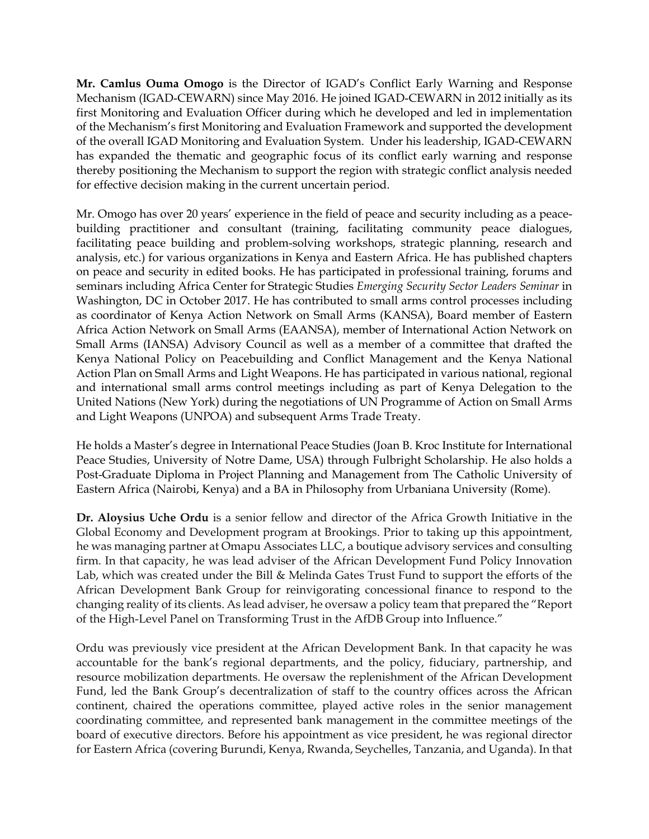**Mr. Camlus Ouma Omogo** is the Director of IGAD's Conflict Early Warning and Response Mechanism (IGAD-CEWARN) since May 2016. He joined IGAD-CEWARN in 2012 initially as its first Monitoring and Evaluation Officer during which he developed and led in implementation of the Mechanism's first Monitoring and Evaluation Framework and supported the development of the overall IGAD Monitoring and Evaluation System. Under his leadership, IGAD-CEWARN has expanded the thematic and geographic focus of its conflict early warning and response thereby positioning the Mechanism to support the region with strategic conflict analysis needed for effective decision making in the current uncertain period.

Mr. Omogo has over 20 years' experience in the field of peace and security including as a peacebuilding practitioner and consultant (training, facilitating community peace dialogues, facilitating peace building and problem-solving workshops, strategic planning, research and analysis, etc.) for various organizations in Kenya and Eastern Africa. He has published chapters on peace and security in edited books. He has participated in professional training, forums and seminars including Africa Center for Strategic Studies *Emerging Security Sector Leaders Seminar* in Washington, DC in October 2017. He has contributed to small arms control processes including as coordinator of Kenya Action Network on Small Arms (KANSA), Board member of Eastern Africa Action Network on Small Arms (EAANSA), member of International Action Network on Small Arms (IANSA) Advisory Council as well as a member of a committee that drafted the Kenya National Policy on Peacebuilding and Conflict Management and the Kenya National Action Plan on Small Arms and Light Weapons. He has participated in various national, regional and international small arms control meetings including as part of Kenya Delegation to the United Nations (New York) during the negotiations of UN Programme of Action on Small Arms and Light Weapons (UNPOA) and subsequent Arms Trade Treaty.

He holds a Master's degree in International Peace Studies (Joan B. Kroc Institute for International Peace Studies, University of Notre Dame, USA) through Fulbright Scholarship. He also holds a Post-Graduate Diploma in Project Planning and Management from The Catholic University of Eastern Africa (Nairobi, Kenya) and a BA in Philosophy from Urbaniana University (Rome).

**Dr. Aloysius Uche Ordu** is a senior fellow and director of the Africa Growth Initiative in the Global Economy and Development program at Brookings. Prior to taking up this appointment, he was managing partner at Omapu Associates LLC, a boutique advisory services and consulting firm. In that capacity, he was lead adviser of the African Development Fund Policy Innovation Lab, which was created under the Bill & Melinda Gates Trust Fund to support the efforts of the African Development Bank Group for reinvigorating concessional finance to respond to the changing reality of its clients. As lead adviser, he oversaw a policy team that prepared the "Report of the High-Level Panel on Transforming Trust in the AfDB Group into Influence."

Ordu was previously vice president at the African Development Bank. In that capacity he was accountable for the bank's regional departments, and the policy, fiduciary, partnership, and resource mobilization departments. He oversaw the replenishment of the African Development Fund, led the Bank Group's decentralization of staff to the country offices across the African continent, chaired the operations committee, played active roles in the senior management coordinating committee, and represented bank management in the committee meetings of the board of executive directors. Before his appointment as vice president, he was regional director for Eastern Africa (covering Burundi, Kenya, Rwanda, Seychelles, Tanzania, and Uganda). In that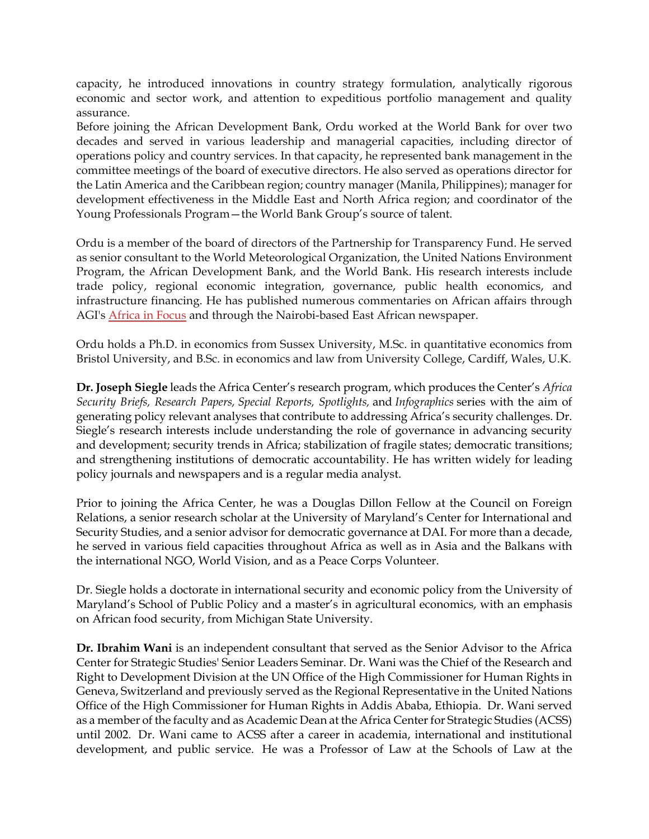capacity, he introduced innovations in country strategy formulation, analytically rigorous economic and sector work, and attention to expeditious portfolio management and quality assurance.

Before joining the African Development Bank, Ordu worked at the World Bank for over two decades and served in various leadership and managerial capacities, including director of operations policy and country services. In that capacity, he represented bank management in the committee meetings of the board of executive directors. He also served as operations director for the Latin America and the Caribbean region; country manager (Manila, Philippines); manager for development effectiveness in the Middle East and North Africa region; and coordinator of the Young Professionals Program—the World Bank Group's source of talent.

Ordu is a member of the board of directors of the Partnership for Transparency Fund. He served as senior consultant to the World Meteorological Organization, the United Nations Environment Program, the African Development Bank, and the World Bank. His research interests include trade policy, regional economic integration, governance, public health economics, and infrastructure financing. He has published numerous commentaries on African affairs through AGI's [Africa](https://www.brookings.edu/blog/africa-in-focus/2021/04/06/africa-is-creating-jobs-but-the-narrative-is-complicated/) in [Focus](https://www.brookings.edu/blog/africa-in-focus/2021/04/06/africa-is-creating-jobs-but-the-narrative-is-complicated/) and through the Nairobi-based East African newspaper.

Ordu holds a Ph.D. in economics from Sussex University, M.Sc. in quantitative economics from Bristol University, and B.Sc. in economics and law from University College, Cardiff, Wales, U.K.

**Dr. Joseph Siegle** leads the Africa Center's research program, which produces the Center's *Africa Security Briefs, Research Papers, Special Reports, Spotlights,* and *Infographics* series with the aim of generating policy relevant analyses that contribute to addressing Africa's security challenges. Dr. Siegle's research interests include understanding the role of governance in advancing security and development; security trends in Africa; stabilization of fragile states; democratic transitions; and strengthening institutions of democratic accountability. He has written widely for leading policy journals and newspapers and is a regular media analyst.

Prior to joining the Africa Center, he was a Douglas Dillon Fellow at the Council on Foreign Relations, a senior research scholar at the University of Maryland's Center for International and Security Studies, and a senior advisor for democratic governance at DAI. For more than a decade, he served in various field capacities throughout Africa as well as in Asia and the Balkans with the international NGO, World Vision, and as a Peace Corps Volunteer.

Dr. Siegle holds a doctorate in international security and economic policy from the University of Maryland's School of Public Policy and a master's in agricultural economics, with an emphasis on African food security, from Michigan State University.

**Dr. Ibrahim Wani** is an independent consultant that served as the Senior Advisor to the Africa Center for Strategic Studies' Senior Leaders Seminar. Dr. Wani was the Chief of the Research and Right to Development Division at the UN Office of the High Commissioner for Human Rights in Geneva, Switzerland and previously served as the Regional Representative in the United Nations Office of the High Commissioner for Human Rights in Addis Ababa, Ethiopia. Dr. Wani served as a member of the faculty and as Academic Dean at the Africa Center for Strategic Studies (ACSS) until 2002. Dr. Wani came to ACSS after a career in academia, international and institutional development, and public service. He was a Professor of Law at the Schools of Law at the